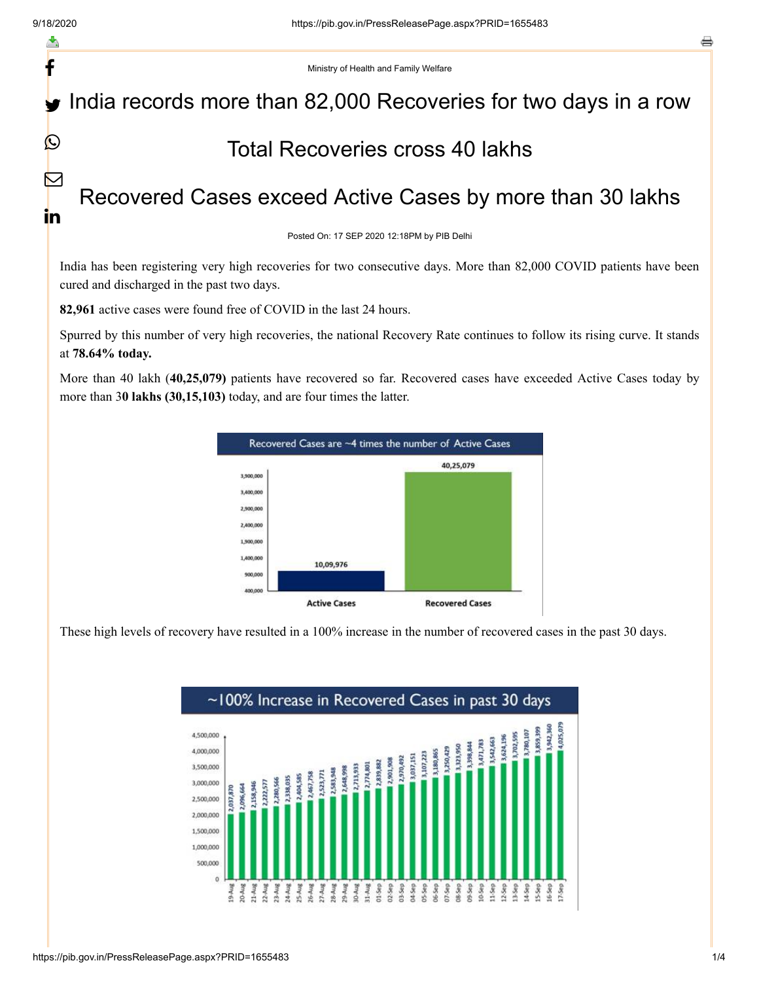f

 $\Omega$ 

M

<u>in</u>

Ministry of Health and Family Welfare

## India records more than 82,000 Recoveries for two days in a row

## Total Recoveries cross 40 lakhs

## Recovered Cases exceed Active Cases by more than 30 lakhs

Posted On: 17 SEP 2020 12:18PM by PIB Delhi

India has been registering very high recoveries for two consecutive days. More than 82,000 COVID patients have been cured and discharged in the past two days.

**82,961** active cases were found free of COVID in the last 24 hours.

Spurred by this number of very high recoveries, the national Recovery Rate continues to follow its rising curve. It stands at **78.64% today.**

More than 40 lakh (**40,25,079)** patients have recovered so far. Recovered cases have exceeded Active Cases today by more than 3**0 lakhs (30,15,103)** today, and are four times the latter.



These high levels of recovery have resulted in a 100% increase in the number of recovered cases in the past 30 days.

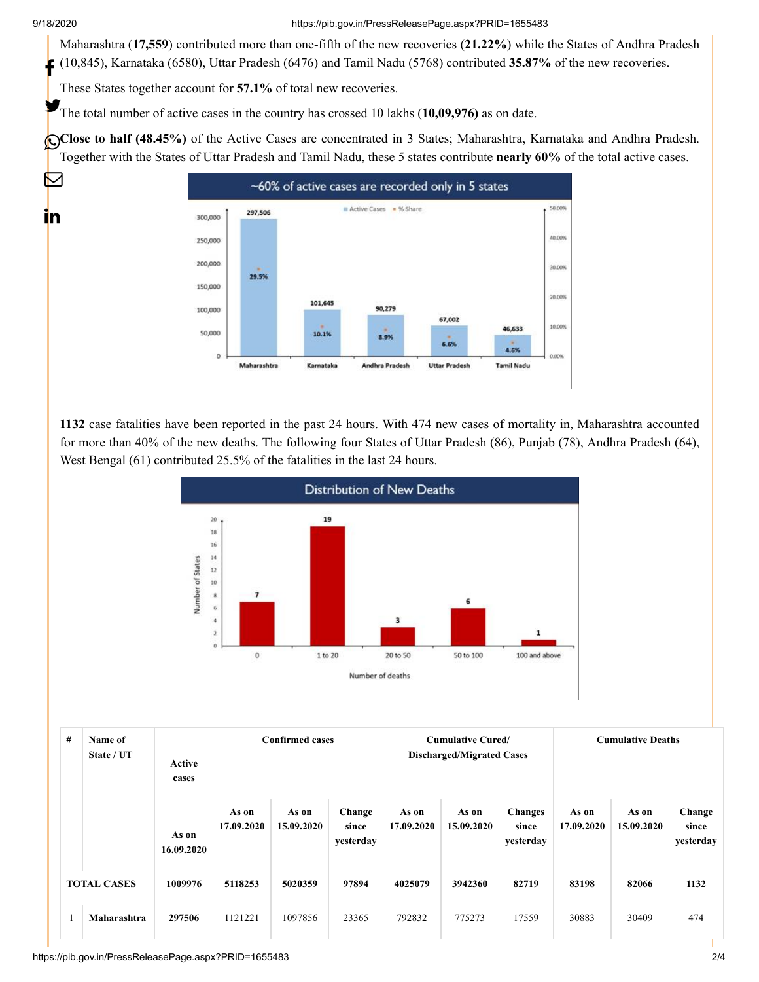$\boxtimes$ 

in

9/18/2020 https://pib.gov.in/PressReleasePage.aspx?PRID=1655483

Maharashtra (**17,559**) contributed more than one-fifth of the new recoveries (**21.22%**) while the States of Andhra Pradesh (10,845), Karnataka (6580), Uttar Pradesh (6476) and Tamil Nadu (5768) contributed **35.87%** of the new recoveries.

These States together account for **57.1%** of total new recoveries.

The total number of active cases in the country has crossed 10 lakhs (10,09,976) as on date.

Close to half (48.45%) of the Active Cases are concentrated in 3 States; Maharashtra, Karnataka and Andhra Pradesh. Together with the States of Uttar Pradesh and Tamil Nadu, these 5 states contribute **nearly 60%** of the total active cases.



**1132** case fatalities have been reported in the past 24 hours. With 474 new cases of mortality in, Maharashtra accounted for more than 40% of the new deaths. The following four States of Uttar Pradesh (86), Punjab (78), Andhra Pradesh (64), West Bengal (61) contributed 25.5% of the fatalities in the last 24 hours.



| #                  | Name of<br>State / UT | Active<br>cases     |                     | <b>Confirmed cases</b> |                              |                     | <b>Cumulative Cured/</b><br><b>Discharged/Migrated Cases</b> |                                      | <b>Cumulative Deaths</b> |                     |                              |
|--------------------|-----------------------|---------------------|---------------------|------------------------|------------------------------|---------------------|--------------------------------------------------------------|--------------------------------------|--------------------------|---------------------|------------------------------|
|                    |                       | As on<br>16.09.2020 | As on<br>17.09.2020 | As on<br>15.09.2020    | Change<br>since<br>yesterday | As on<br>17.09.2020 | As on<br>15.09.2020                                          | <b>Changes</b><br>since<br>yesterday | As on<br>17.09.2020      | As on<br>15.09.2020 | Change<br>since<br>yesterday |
| <b>TOTAL CASES</b> |                       | 1009976             | 5118253             | 5020359                | 97894                        | 4025079             | 3942360                                                      | 82719                                | 83198                    | 82066               | 1132                         |
|                    | Maharashtra           | 297506              | 1121221             | 1097856                | 23365                        | 792832              | 775273                                                       | 17559                                | 30883                    | 30409               | 474                          |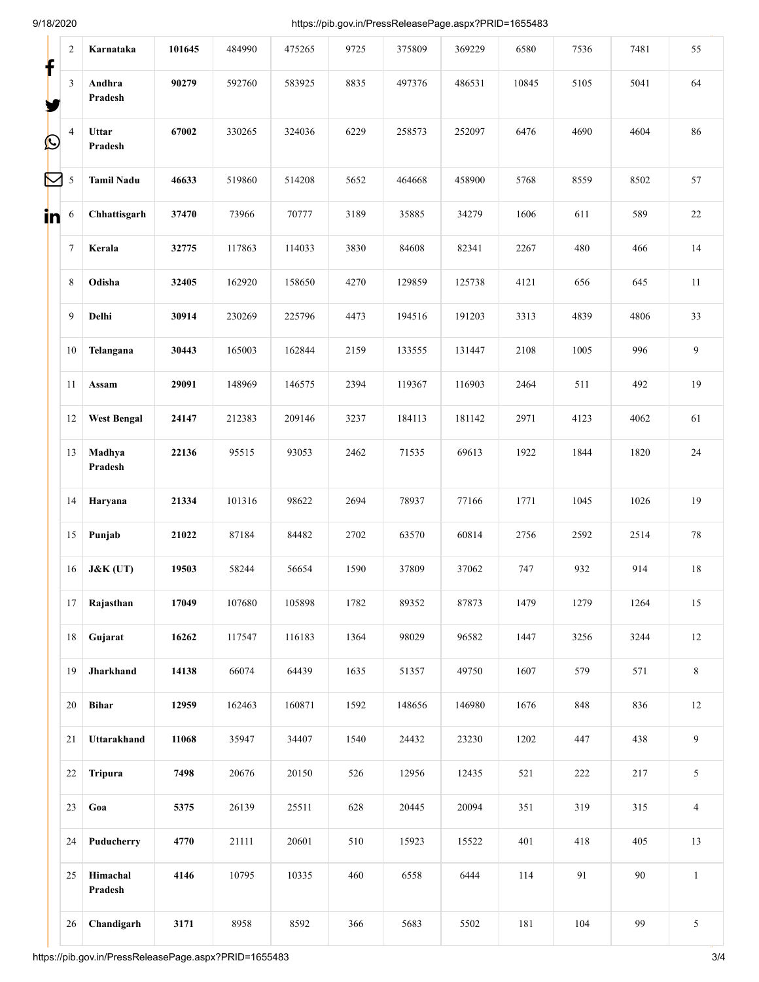9/18/2020 https://pib.gov.in/PressReleasePage.aspx?PRID=1655483

| f          | $\overline{c}$ | Karnataka           | 101645 | 484990 | 475265 | 9725 | 375809 | 369229 | 6580  | 7536 | 7481   | 55             |
|------------|----------------|---------------------|--------|--------|--------|------|--------|--------|-------|------|--------|----------------|
|            | $\mathfrak{Z}$ | Andhra<br>Pradesh   | 90279  | 592760 | 583925 | 8835 | 497376 | 486531 | 10845 | 5105 | 5041   | 64             |
| $\bigcirc$ | $\overline{4}$ | Uttar<br>Pradesh    | 67002  | 330265 | 324036 | 6229 | 258573 | 252097 | 6476  | 4690 | 4604   | 86             |
| M          | $\sqrt{5}$     | <b>Tamil Nadu</b>   | 46633  | 519860 | 514208 | 5652 | 464668 | 458900 | 5768  | 8559 | 8502   | 57             |
| in.        | 6              | Chhattisgarh        | 37470  | 73966  | 70777  | 3189 | 35885  | 34279  | 1606  | 611  | 589    | 22             |
|            | $\tau$         | Kerala              | 32775  | 117863 | 114033 | 3830 | 84608  | 82341  | 2267  | 480  | 466    | 14             |
|            | 8              | Odisha              | 32405  | 162920 | 158650 | 4270 | 129859 | 125738 | 4121  | 656  | 645    | 11             |
|            | 9              | Delhi               | 30914  | 230269 | 225796 | 4473 | 194516 | 191203 | 3313  | 4839 | 4806   | 33             |
|            | 10             | Telangana           | 30443  | 165003 | 162844 | 2159 | 133555 | 131447 | 2108  | 1005 | 996    | 9              |
|            | 11             | Assam               | 29091  | 148969 | 146575 | 2394 | 119367 | 116903 | 2464  | 511  | 492    | 19             |
|            | 12             | <b>West Bengal</b>  | 24147  | 212383 | 209146 | 3237 | 184113 | 181142 | 2971  | 4123 | 4062   | 61             |
|            | 13             | Madhya<br>Pradesh   | 22136  | 95515  | 93053  | 2462 | 71535  | 69613  | 1922  | 1844 | 1820   | $24\,$         |
|            | 14             | Haryana             | 21334  | 101316 | 98622  | 2694 | 78937  | 77166  | 1771  | 1045 | 1026   | 19             |
|            | 15             | Punjab              | 21022  | 87184  | 84482  | 2702 | 63570  | 60814  | 2756  | 2592 | 2514   | 78             |
|            | 16             | $J&K$ (UT)          | 19503  | 58244  | 56654  | 1590 | 37809  | 37062  | 747   | 932  | 914    | 18             |
|            | 17             | Rajasthan           | 17049  | 107680 | 105898 | 1782 | 89352  | 87873  | 1479  | 1279 | 1264   | 15             |
|            | 18             | Gujarat             | 16262  | 117547 | 116183 | 1364 | 98029  | 96582  | 1447  | 3256 | 3244   | $12\,$         |
|            | 19             | Jharkhand           | 14138  | 66074  | 64439  | 1635 | 51357  | 49750  | 1607  | 579  | 571    | $8\,$          |
|            | 20             | <b>Bihar</b>        | 12959  | 162463 | 160871 | 1592 | 148656 | 146980 | 1676  | 848  | 836    | $12\,$         |
|            | 21             | Uttarakhand         | 11068  | 35947  | 34407  | 1540 | 24432  | 23230  | 1202  | 447  | 438    | 9              |
|            | 22             | <b>Tripura</b>      | 7498   | 20676  | 20150  | 526  | 12956  | 12435  | 521   | 222  | 217    | 5              |
|            | 23             | Goa                 | 5375   | 26139  | 25511  | 628  | 20445  | 20094  | 351   | 319  | 315    | $\overline{4}$ |
|            | 24             | Puducherry          | 4770   | 21111  | 20601  | 510  | 15923  | 15522  | 401   | 418  | 405    | 13             |
|            | 25             | Himachal<br>Pradesh | 4146   | 10795  | 10335  | 460  | 6558   | 6444   | 114   | 91   | $90\,$ | $\mathbf{1}$   |
|            | 26             | Chandigarh          | 3171   | 8958   | 8592   | 366  | 5683   | 5502   | 181   | 104  | 99     | 5              |